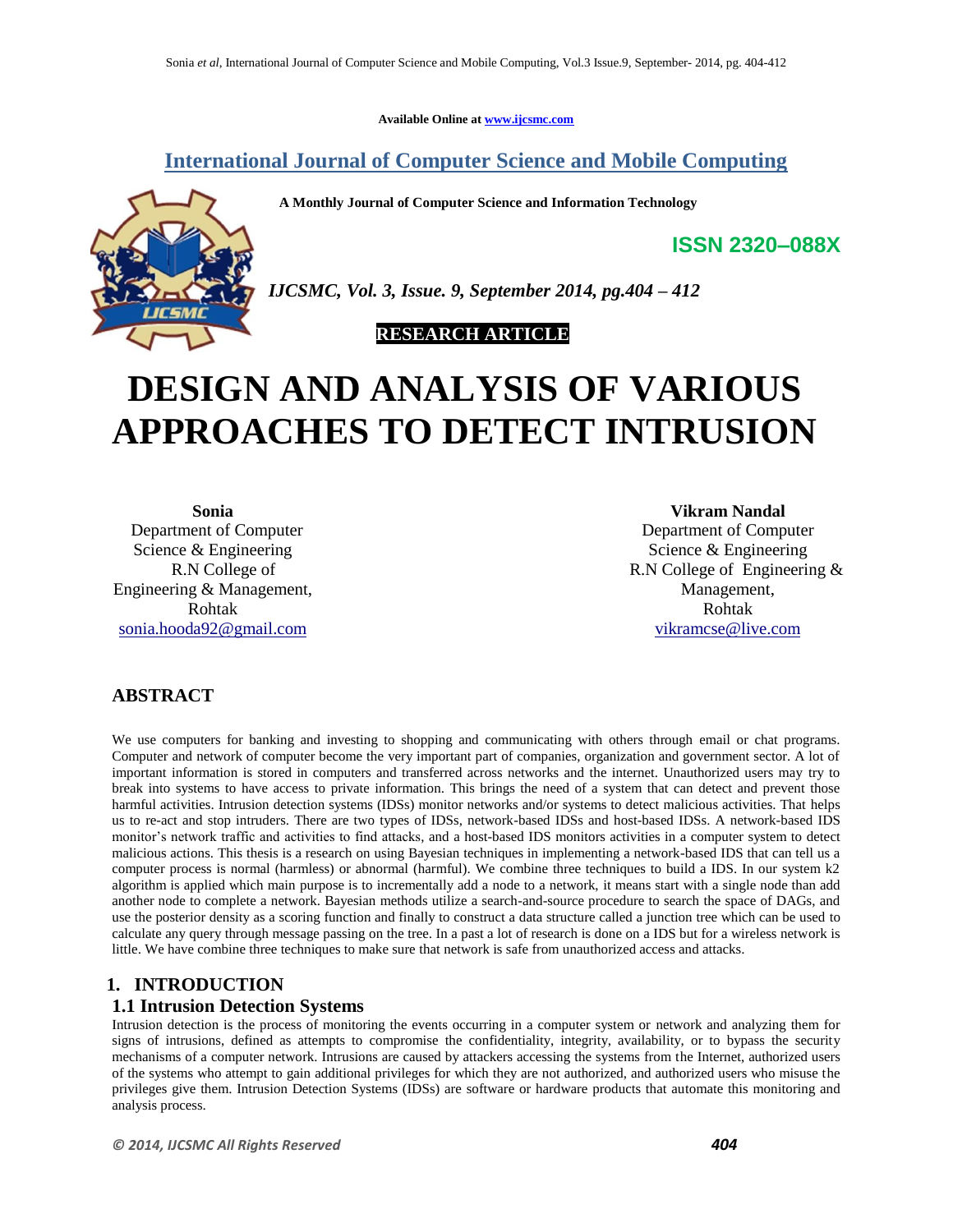**Available Online at www.ijcsmc.com**

# **International Journal of Computer Science and Mobile Computing**

 **A Monthly Journal of Computer Science and Information Technology**



*IJCSMC, Vol. 3, Issue. 9, September 2014, pg.404 – 412*

 **RESEARCH ARTICLE**

# **DESIGN AND ANALYSIS OF VARIOUS APPROACHES TO DETECT INTRUSION**

**Sonia** Department of Computer Science & Engineering R.N College of Engineering & Management, Rohtak sonia.hooda92@gmail.com

**Vikram Nandal**

**ISSN 2320–088X**

Department of Computer Science & Engineering R.N College of Engineering & Management, Rohtak vikramcse@live.com

# **ABSTRACT**

We use computers for banking and investing to shopping and communicating with others through email or chat programs. Computer and network of computer become the very important part of companies, organization and government sector. A lot of important information is stored in computers and transferred across networks and the internet. Unauthorized users may try to break into systems to have access to private information. This brings the need of a system that can detect and prevent those harmful activities. Intrusion detection systems (IDSs) monitor networks and/or systems to detect malicious activities. That helps us to re-act and stop intruders. There are two types of IDSs, network-based IDSs and host-based IDSs. A network-based IDS monitor's network traffic and activities to find attacks, and a host-based IDS monitors activities in a computer system to detect malicious actions. This thesis is a research on using Bayesian techniques in implementing a network-based IDS that can tell us a computer process is normal (harmless) or abnormal (harmful). We combine three techniques to build a IDS. In our system k2 algorithm is applied which main purpose is to incrementally add a node to a network, it means start with a single node than add another node to complete a network. Bayesian methods utilize a search-and-source procedure to search the space of DAGs, and use the posterior density as a scoring function and finally to construct a data structure called a junction tree which can be used to calculate any query through message passing on the tree. In a past a lot of research is done on a IDS but for a wireless network is little. We have combine three techniques to make sure that network is safe from unauthorized access and attacks.

## **1. INTRODUCTION**

#### **1.1 Intrusion Detection Systems**

Intrusion detection is the process of monitoring the events occurring in a computer system or network and analyzing them for signs of intrusions, defined as attempts to compromise the confidentiality, integrity, availability, or to bypass the security mechanisms of a computer network. Intrusions are caused by attackers accessing the systems from the Internet, authorized users of the systems who attempt to gain additional privileges for which they are not authorized, and authorized users who misuse the privileges give them. Intrusion Detection Systems (IDSs) are software or hardware products that automate this monitoring and analysis process.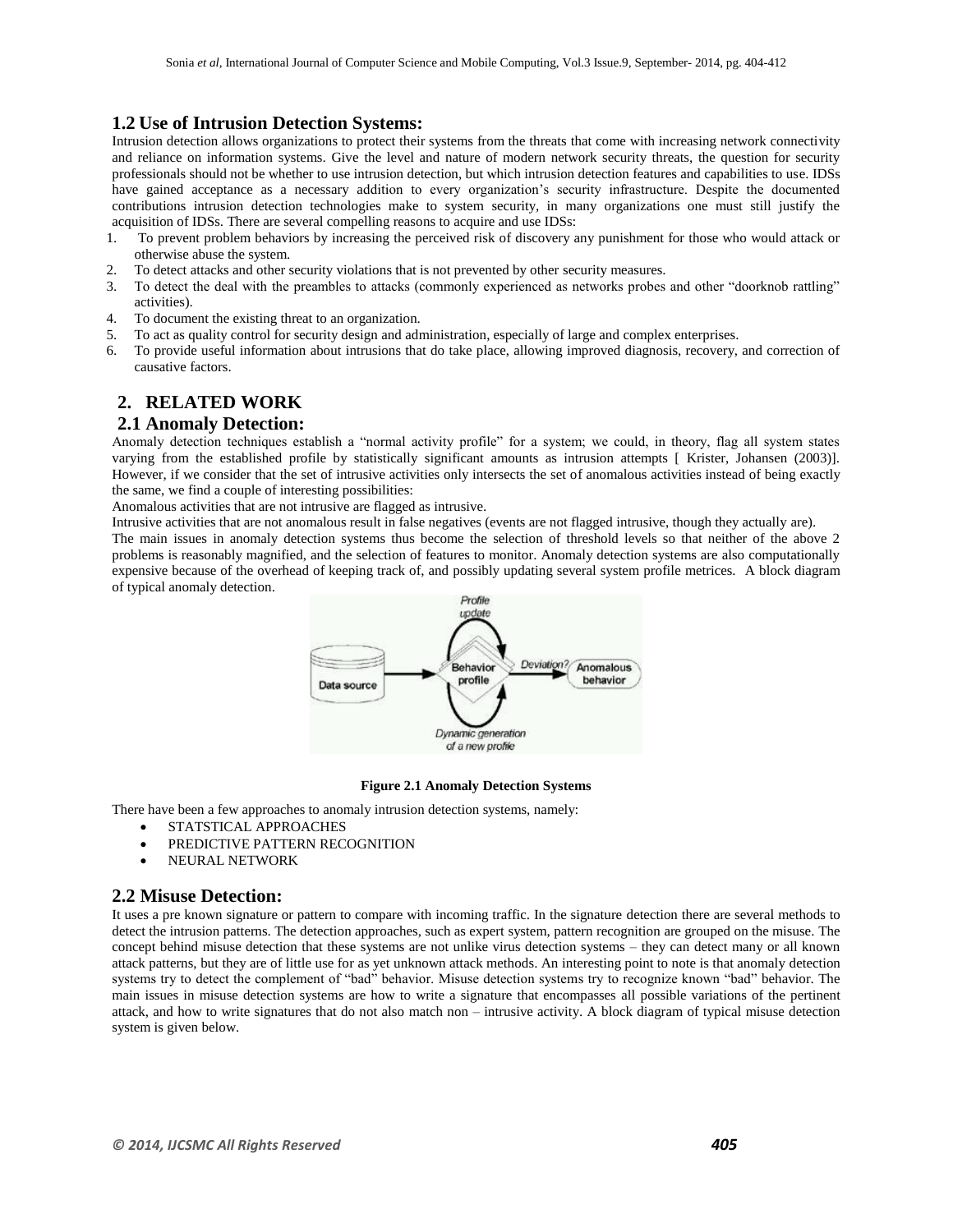## **1.2 Use of Intrusion Detection Systems:**

Intrusion detection allows organizations to protect their systems from the threats that come with increasing network connectivity and reliance on information systems. Give the level and nature of modern network security threats, the question for security professionals should not be whether to use intrusion detection, but which intrusion detection features and capabilities to use. IDSs have gained acceptance as a necessary addition to every organization's security infrastructure. Despite the documented contributions intrusion detection technologies make to system security, in many organizations one must still justify the acquisition of IDSs. There are several compelling reasons to acquire and use IDSs:

- 1. To prevent problem behaviors by increasing the perceived risk of discovery any punishment for those who would attack or otherwise abuse the system.
- 2. To detect attacks and other security violations that is not prevented by other security measures.<br>3. To detect the deal with the preambles to attacks (commonly experienced as networks probes
- 3. To detect the deal with the preambles to attacks (commonly experienced as networks probes and other "doorknob rattling" activities).
- 4. To document the existing threat to an organization.
- 5. To act as quality control for security design and administration, especially of large and complex enterprises.
- 6. To provide useful information about intrusions that do take place, allowing improved diagnosis, recovery, and correction of causative factors.

## **2. RELATED WORK**

#### **2.1 Anomaly Detection:**

Anomaly detection techniques establish a "normal activity profile" for a system; we could, in theory, flag all system states varying from the established profile by statistically significant amounts as intrusion attempts [ Krister, Johansen (2003)]. However, if we consider that the set of intrusive activities only intersects the set of anomalous activities instead of being exactly the same, we find a couple of interesting possibilities:

Anomalous activities that are not intrusive are flagged as intrusive.

Intrusive activities that are not anomalous result in false negatives (events are not flagged intrusive, though they actually are). The main issues in anomaly detection systems thus become the selection of threshold levels so that neither of the above 2 problems is reasonably magnified, and the selection of features to monitor. Anomaly detection systems are also computationally expensive because of the overhead of keeping track of, and possibly updating several system profile metrices. A block diagram of typical anomaly detection.



#### **Figure 2.1 Anomaly Detection Systems**

There have been a few approaches to anomaly intrusion detection systems, namely:

- STATSTICAL APPROACHES
- PREDICTIVE PATTERN RECOGNITION
- NEURAL NETWORK

#### **2.2 Misuse Detection:**

It uses a pre known signature or pattern to compare with incoming traffic. In the signature detection there are several methods to detect the intrusion patterns. The detection approaches, such as expert system, pattern recognition are grouped on the misuse. The concept behind misuse detection that these systems are not unlike virus detection systems – they can detect many or all known attack patterns, but they are of little use for as yet unknown attack methods. An interesting point to note is that anomaly detection systems try to detect the complement of "bad" behavior. Misuse detection systems try to recognize known "bad" behavior. The main issues in misuse detection systems are how to write a signature that encompasses all possible variations of the pertinent attack, and how to write signatures that do not also match non – intrusive activity. A block diagram of typical misuse detection system is given below.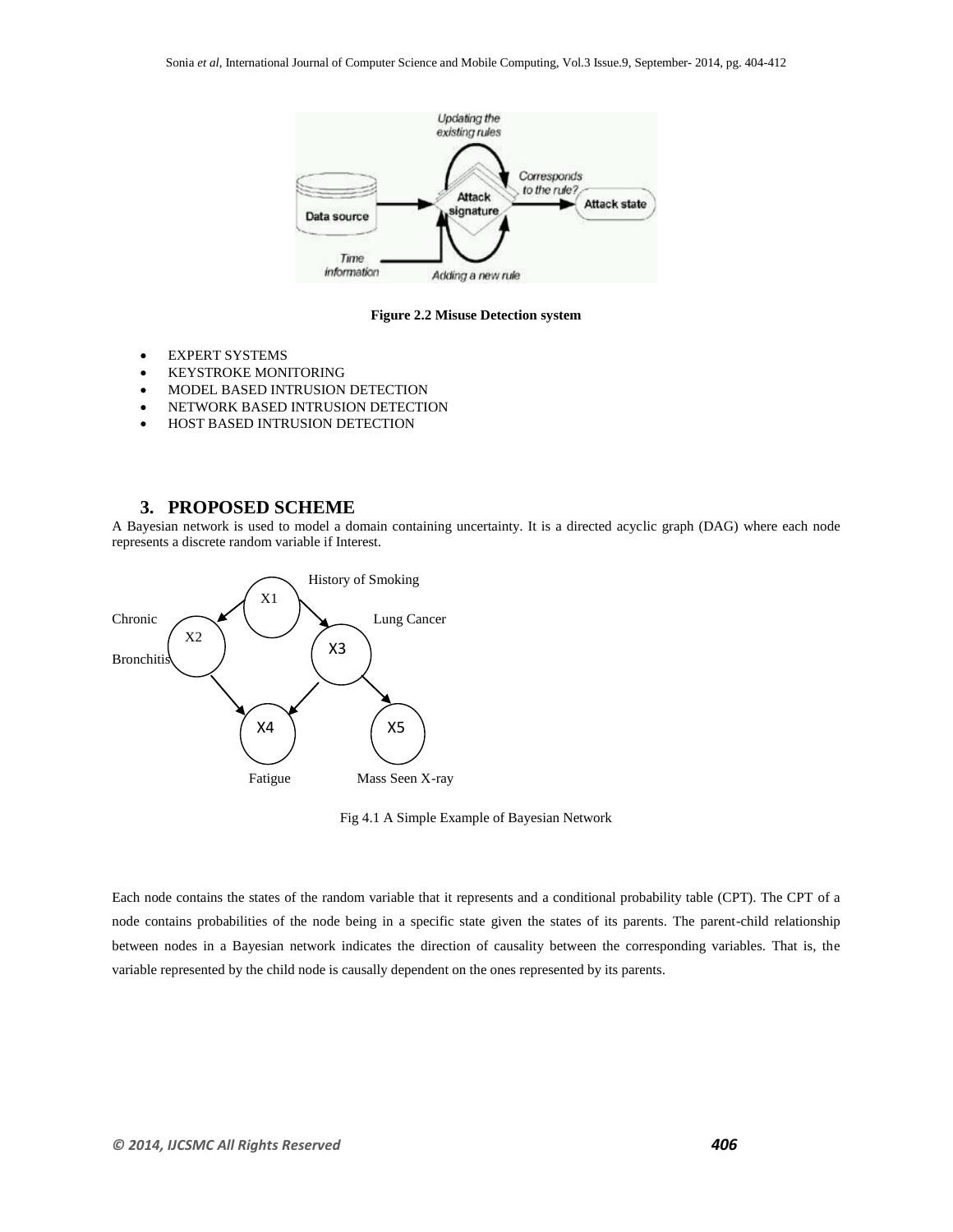

**Figure 2.2 Misuse Detection system**

- EXPERT SYSTEMS
- **KEYSTROKE MONITORING**
- MODEL BASED INTRUSION DETECTION
- NETWORK BASED INTRUSION DETECTION
- HOST BASED INTRUSION DETECTION

## **3. PROPOSED SCHEME**

A Bayesian network is used to model a domain containing uncertainty. It is a directed acyclic graph (DAG) where each node represents a discrete random variable if Interest.



Fig 4.1 A Simple Example of Bayesian Network

Each node contains the states of the random variable that it represents and a conditional probability table (CPT). The CPT of a node contains probabilities of the node being in a specific state given the states of its parents. The parent-child relationship between nodes in a Bayesian network indicates the direction of causality between the corresponding variables. That is, the variable represented by the child node is causally dependent on the ones represented by its parents.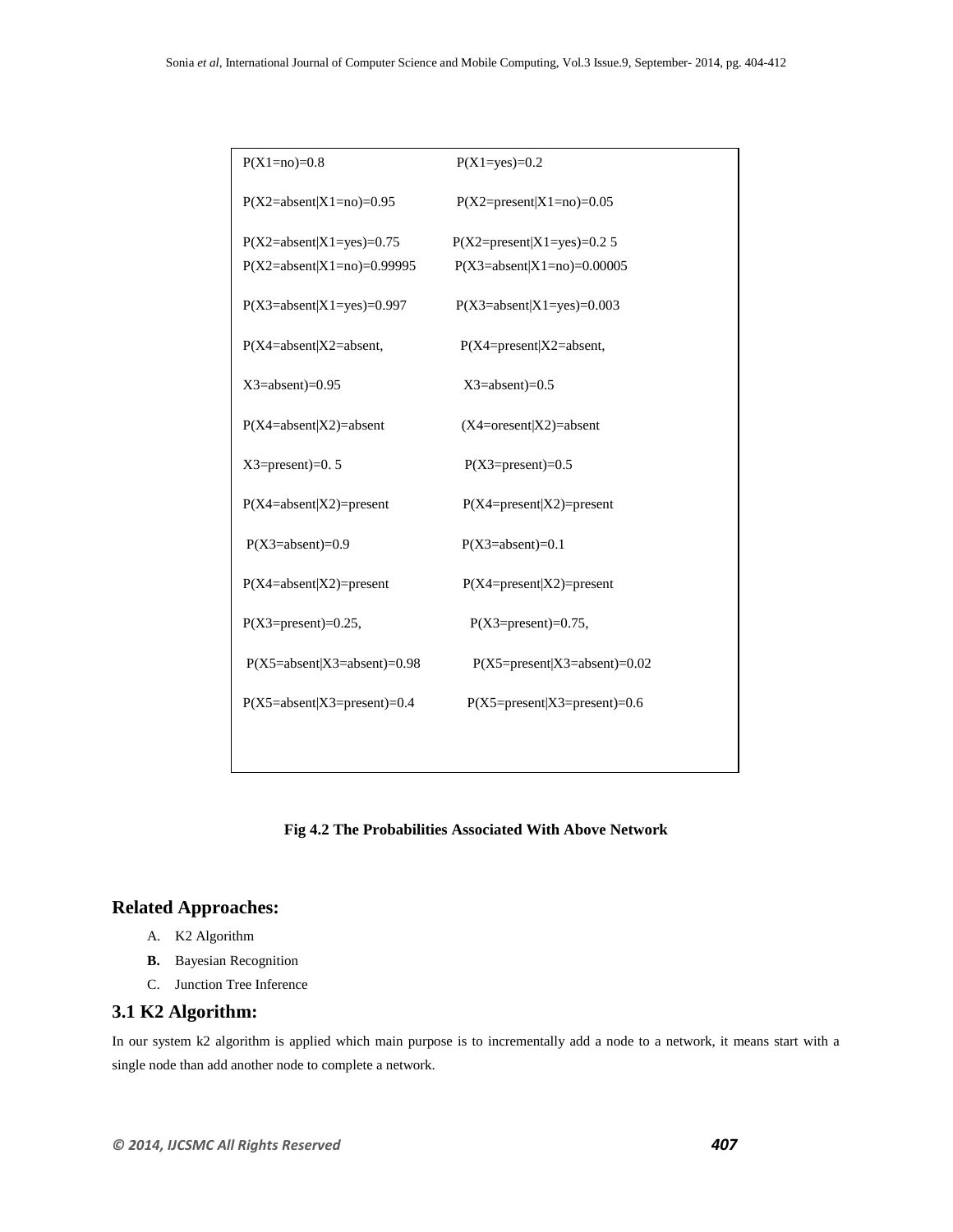| $P(X1=no)=0.8$                | $P(X1 = yes) = 0.2$            |
|-------------------------------|--------------------------------|
| $P(X2=absent X1=no)=0.95$     | $P(X2=present X1=no)=0.05$     |
| $P(X2=absent X1=yes)=0.75$    | $P(X2=present X1=yes)=0.25$    |
| $P(X2=absent X1=no)=0.99995$  | $P(X3=absent X1=no)=0.00005$   |
| $P(X3=absent X1=yes)=0.997$   | $P(X3=absent X1=yes)=0.003$    |
| $P(X4=absent X2=absent,$      | $P(X4=present X2=absent,$      |
| $X3 = absent$ =0.95           | $X3 = absent$ =0.5             |
| $P(X4=absent X2)=absent$      | $(X4=$ oresent $ X2)=$ absent  |
| $X3 = present = 0.5$          | $P(X3=present)=0.5$            |
| $P(X4=absent X2)=present$     | $P(X4=present X2)=present$     |
| $P(X3=absent)=0.9$            | $P(X3=absent)=0.1$             |
| $P(X4=absent X2)=present$     | $P(X4=present X2)=present$     |
| $P(X3=present)=0.25$ ,        | $P(X3=present)=0.75$ ,         |
| $P(X5=absent X3=absent)=0.98$ | $P(X5=present X3=absent)=0.02$ |
| $P(X5=absent X3=present)=0.4$ | $P(X5=present X3=present)=0.6$ |
|                               |                                |
|                               |                                |

#### **Fig 4.2 The Probabilities Associated With Above Network**

# **Related Approaches:**

- A. K2 Algorithm
- **B.** Bayesian Recognition
- C. Junction Tree Inference

#### **3.1 K2 Algorithm:**

In our system k2 algorithm is applied which main purpose is to incrementally add a node to a network, it means start with a single node than add another node to complete a network.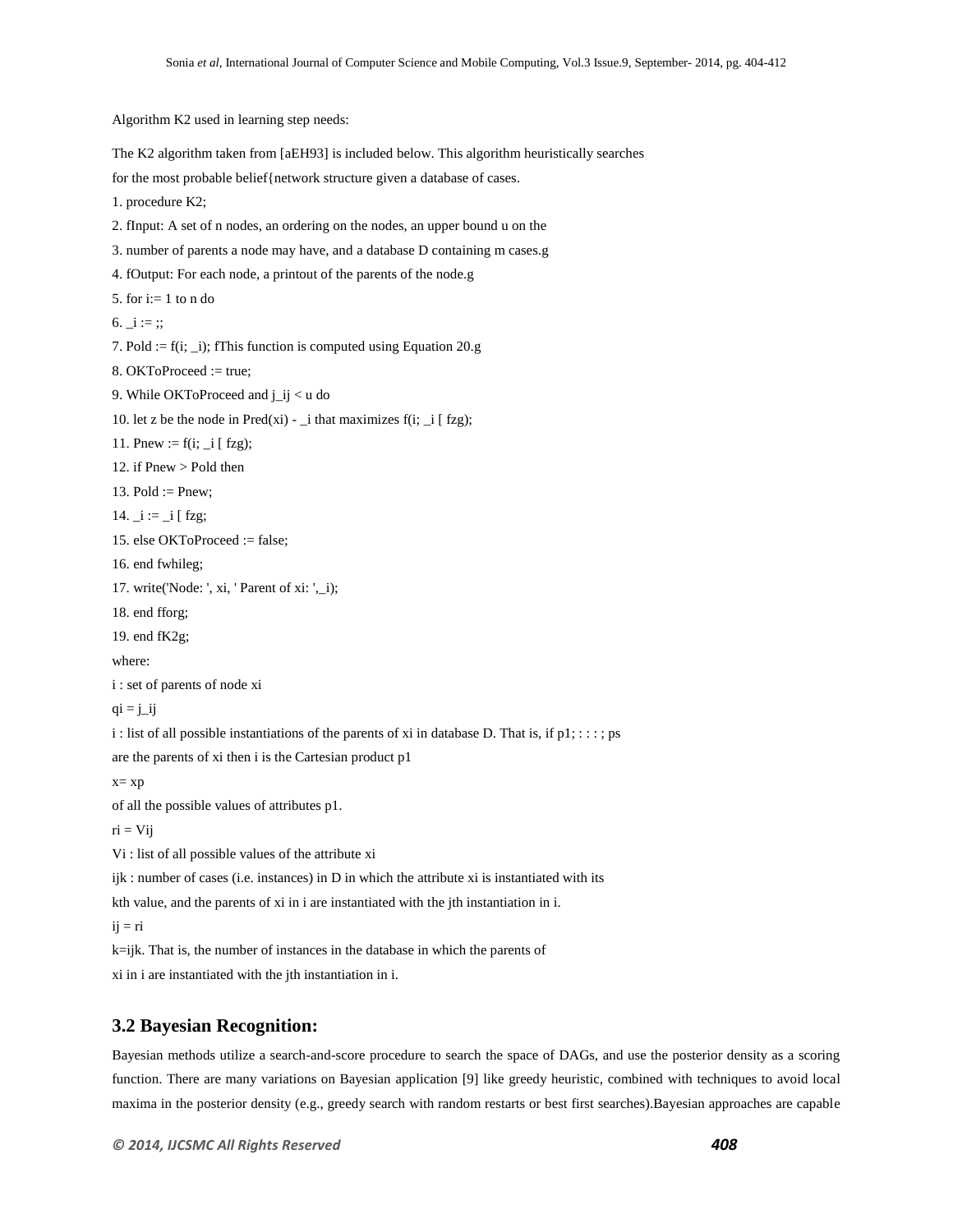Algorithm K2 used in learning step needs:

The K2 algorithm taken from [aEH93] is included below. This algorithm heuristically searches

for the most probable belief{network structure given a database of cases.

1. procedure K2;

2. fInput: A set of n nodes, an ordering on the nodes, an upper bound u on the

3. number of parents a node may have, and a database D containing m cases.g

4. fOutput: For each node, a printout of the parents of the node.g

5. for  $i=1$  to n do

6.  $i :=$  ;;

7. Pold :=  $f(i; j)$ ; fThis function is computed using Equation 20.g

8. OKToProceed := true;

9. While OKToProceed and j\_ij < u do

10. let z be the node in Pred(xi) - \_i that maximizes  $f(i;$  \_i [ fzg);

11. Pnew :=  $f(i; -i [ fzg);$ 

12. if Pnew > Pold then

13.  $Pold := Pnew$ ;

14.  $i := i$  [ fzg;

15. else OKToProceed := false;

16. end fwhileg;

17. write('Node: ', xi, ' Parent of xi: ',\_i);

18. end fforg;

19. end fK2g;

where:

i : set of parents of node xi

 $qi = j$ ij

i : list of all possible instantiations of the parents of xi in database D. That is, if  $p1$ ; : : : ; ps

are the parents of xi then i is the Cartesian product p1

x= xp

of all the possible values of attributes p1.

 $ri = Vij$ 

Vi : list of all possible values of the attribute xi

 $ijk$ : number of cases (i.e. instances) in D in which the attribute xi is instantiated with its

kth value, and the parents of xi in i are instantiated with the jth instantiation in i.

 $i\mathbf{j} = \mathbf{r}$ i

k=ijk. That is, the number of instances in the database in which the parents of

xi in i are instantiated with the jth instantiation in i.

#### **3.2 Bayesian Recognition:**

Bayesian methods utilize a search-and-score procedure to search the space of DAGs, and use the posterior density as a scoring function. There are many variations on Bayesian application [9] like greedy heuristic, combined with techniques to avoid local maxima in the posterior density (e.g., greedy search with random restarts or best first searches).Bayesian approaches are capable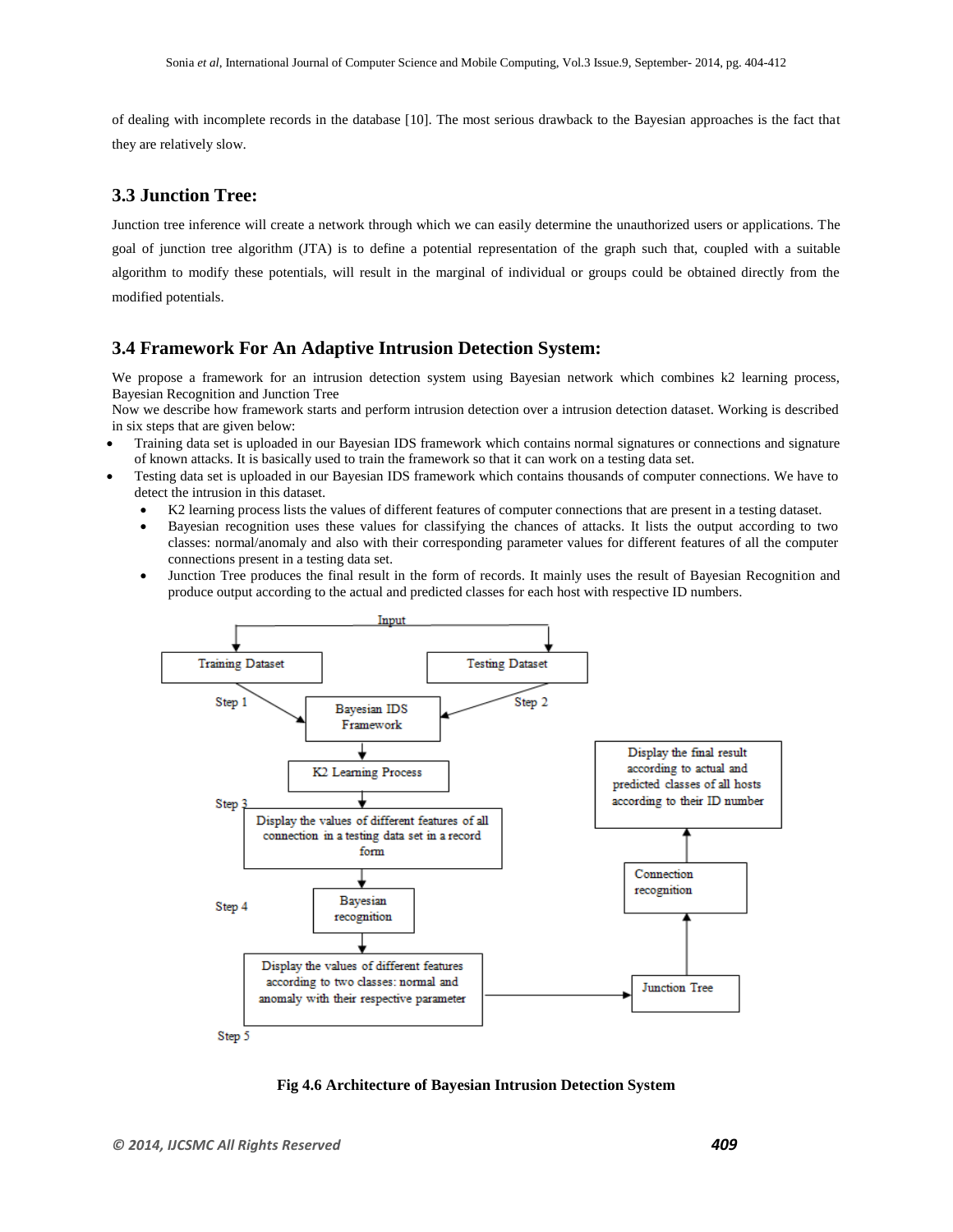of dealing with incomplete records in the database [10]. The most serious drawback to the Bayesian approaches is the fact that they are relatively slow.

## **3.3 Junction Tree:**

Junction tree inference will create a network through which we can easily determine the unauthorized users or applications. The goal of junction tree algorithm (JTA) is to define a potential representation of the graph such that, coupled with a suitable algorithm to modify these potentials, will result in the marginal of individual or groups could be obtained directly from the modified potentials.

#### **3.4 Framework For An Adaptive Intrusion Detection System:**

We propose a framework for an intrusion detection system using Bayesian network which combines k2 learning process, Bayesian Recognition and Junction Tree

Now we describe how framework starts and perform intrusion detection over a intrusion detection dataset. Working is described in six steps that are given below:

- Training data set is uploaded in our Bayesian IDS framework which contains normal signatures or connections and signature of known attacks. It is basically used to train the framework so that it can work on a testing data set.
- Testing data set is uploaded in our Bayesian IDS framework which contains thousands of computer connections. We have to detect the intrusion in this dataset.
	- K2 learning process lists the values of different features of computer connections that are present in a testing dataset.
	- Bayesian recognition uses these values for classifying the chances of attacks. It lists the output according to two classes: normal/anomaly and also with their corresponding parameter values for different features of all the computer connections present in a testing data set.
	- Junction Tree produces the final result in the form of records. It mainly uses the result of Bayesian Recognition and produce output according to the actual and predicted classes for each host with respective ID numbers.



**Fig 4.6 Architecture of Bayesian Intrusion Detection System**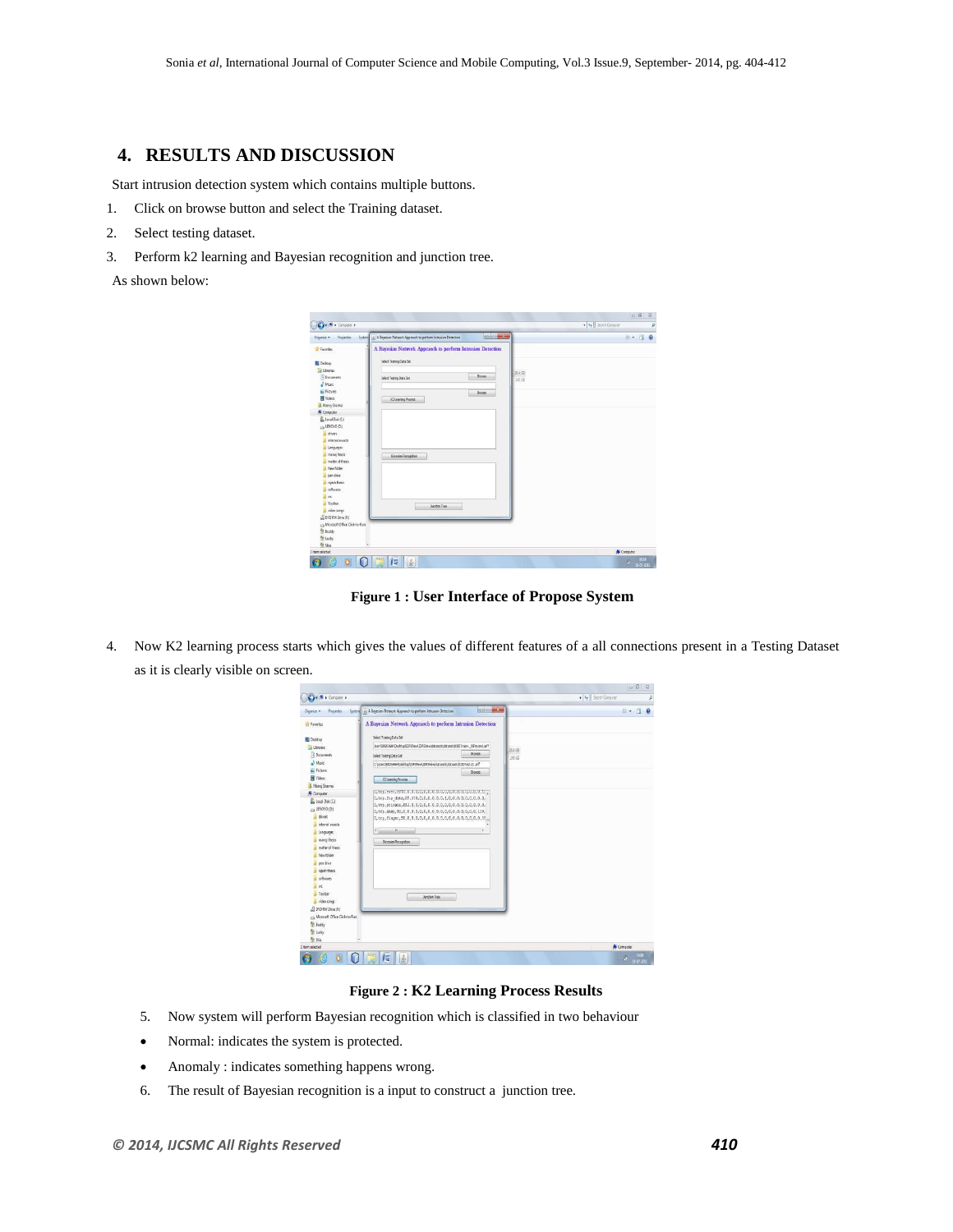# **4. RESULTS AND DISCUSSION**

Start intrusion detection system which contains multiple buttons.

- 1. Click on browse button and select the Training dataset.
- 2. Select testing dataset.
- 3. Perform k2 learning and Bayesian recognition and junction tree.

As shown below:

| <b>Properties</b><br>System<br>Ovgenize - | <b>Including Sec</b><br>A Bayesian Network Approach to perform Intrusion Detection | $\theta$<br>三· 国 |
|-------------------------------------------|------------------------------------------------------------------------------------|------------------|
| <b>Si</b> Favorites                       | A Bayesian Network Appracch to perform Intrusion Detection                         |                  |
|                                           | Select Training Data Set                                                           |                  |
| <b>EL</b> Desirop<br><b>Da Libraries</b>  |                                                                                    |                  |
| R Documents                               | <b>Browse</b><br>Select Testing Data Set                                           | 25.4.08          |
| A Masic                                   |                                                                                    | 36 GB            |
| <b>E.</b> Fictures                        | <b>Browse</b>                                                                      |                  |
| <b>B</b> Videos                           | #2 Learning Process                                                                |                  |
| <b>A</b> Mancy Sharma                     |                                                                                    |                  |
| Computer                                  |                                                                                    |                  |
| Local Disk (C)                            |                                                                                    |                  |
| Lis LENOVO (Dt)                           |                                                                                    |                  |
| drivers                                   |                                                                                    |                  |
| internal awards                           |                                                                                    |                  |
| Languages                                 |                                                                                    |                  |
| mano) thesis                              | Savesian Recognition                                                               |                  |
| metter of thesis                          |                                                                                    |                  |
| New folder                                |                                                                                    |                  |
| pen drive<br>rajesh thesis                |                                                                                    |                  |
| schures                                   |                                                                                    |                  |
| AL SYC                                    |                                                                                    |                  |
| <b>E</b> Toolbar                          |                                                                                    |                  |
| video songs                               | Junction Tree                                                                      |                  |
| 山 DVD RW Drive (Ft)                       |                                                                                    |                  |
| La Morach Office Click-to-Run             |                                                                                    |                  |
| <sup>9</sup> Buddy                        |                                                                                    |                  |
| <sup>6</sup> Lucky                        |                                                                                    |                  |
|                                           | ٠                                                                                  |                  |
| <b>% 9ia</b>                              |                                                                                    |                  |

**Figure 1 : User Interface of Propose System**

4. Now K2 learning process starts which gives the values of different features of a all connections present in a Testing Dataset as it is clearly visible on screen.

| Chasnice =<br><b>Proserbes</b>        | System         A Bayesian Network Approach to perform Intrusion Detection   | <b>CONTRACTOR</b> |                  | $= -10$    |
|---------------------------------------|-----------------------------------------------------------------------------|-------------------|------------------|------------|
| St Faundes                            | A Bayesian Network Appracch to perform Intrusion Detection                  |                   |                  |            |
| <b>Desirro</b>                        | Select Training Data Set                                                    |                   |                  |            |
| <b>Ubraries</b>                       | Jan/BADSHAHDesktp/IDRSWerl@RSWerldatasatsldatasatslkDDTrain+ 20Percent.arff |                   |                  |            |
| <b>B</b> Documents                    | Select Testing Data Set                                                     | Brawse            | 164.68<br>165 GB |            |
| M <sub>1</sub>                        | C:Use: EADSHAHDedday) (DRSNew) (DRSNew) datasets (datasets) (DDF) at 19     |                   |                  |            |
| <b>E</b> Pictures                     |                                                                             | Brasse            |                  |            |
| <b>B</b> Videos                       | 12 Learning Process                                                         |                   |                  |            |
| <b>B. Manoj Sharms</b>                |                                                                             |                   |                  |            |
| Computer                              |                                                                             |                   |                  |            |
| Lecal Disk (C)                        | 0, tcp, ftp data, 3f, 314, 0, 0, 0, 0, 0, 0, 1, 0, 0, 0, 0, 0, 0, 0, 0, 0,  |                   |                  |            |
| G LENOVO (D.)                         |                                                                             |                   |                  |            |
| divers                                |                                                                             |                   |                  |            |
| internal awards                       |                                                                             |                   |                  |            |
| <b>Languages</b>                      | m<br>$\epsilon$                                                             |                   |                  |            |
| menci thesis                          | <b>Bayman Recognition</b>                                                   |                   |                  |            |
|                                       |                                                                             |                   |                  |            |
| matter of thesis                      |                                                                             |                   |                  |            |
| New folder                            |                                                                             |                   |                  |            |
| pen frive                             |                                                                             |                   |                  |            |
| rajesh thesis                         |                                                                             |                   |                  |            |
| schares                               |                                                                             |                   |                  |            |
| <b>出</b> 50                           |                                                                             |                   |                  |            |
| Toobar                                |                                                                             |                   |                  |            |
| video songs                           | Junction Tree                                                               |                   |                  |            |
| <b>EL DIO RIV Drive (Ft)</b>          |                                                                             |                   |                  |            |
| Cia Microsoft Office Click-to-Run     |                                                                             |                   |                  |            |
| <sup>O</sup> l: Buddy                 |                                                                             |                   |                  |            |
| <sup>0</sup> Ludy                     |                                                                             |                   |                  |            |
| <sup>Ch</sup> Ship<br>1 item selected |                                                                             |                   |                  | N Computer |

**Figure 2 : K2 Learning Process Results**

- 5. Now system will perform Bayesian recognition which is classified in two behaviour
- Normal: indicates the system is protected.
- Anomaly : indicates something happens wrong.
- 6. The result of Bayesian recognition is a input to construct a junction tree.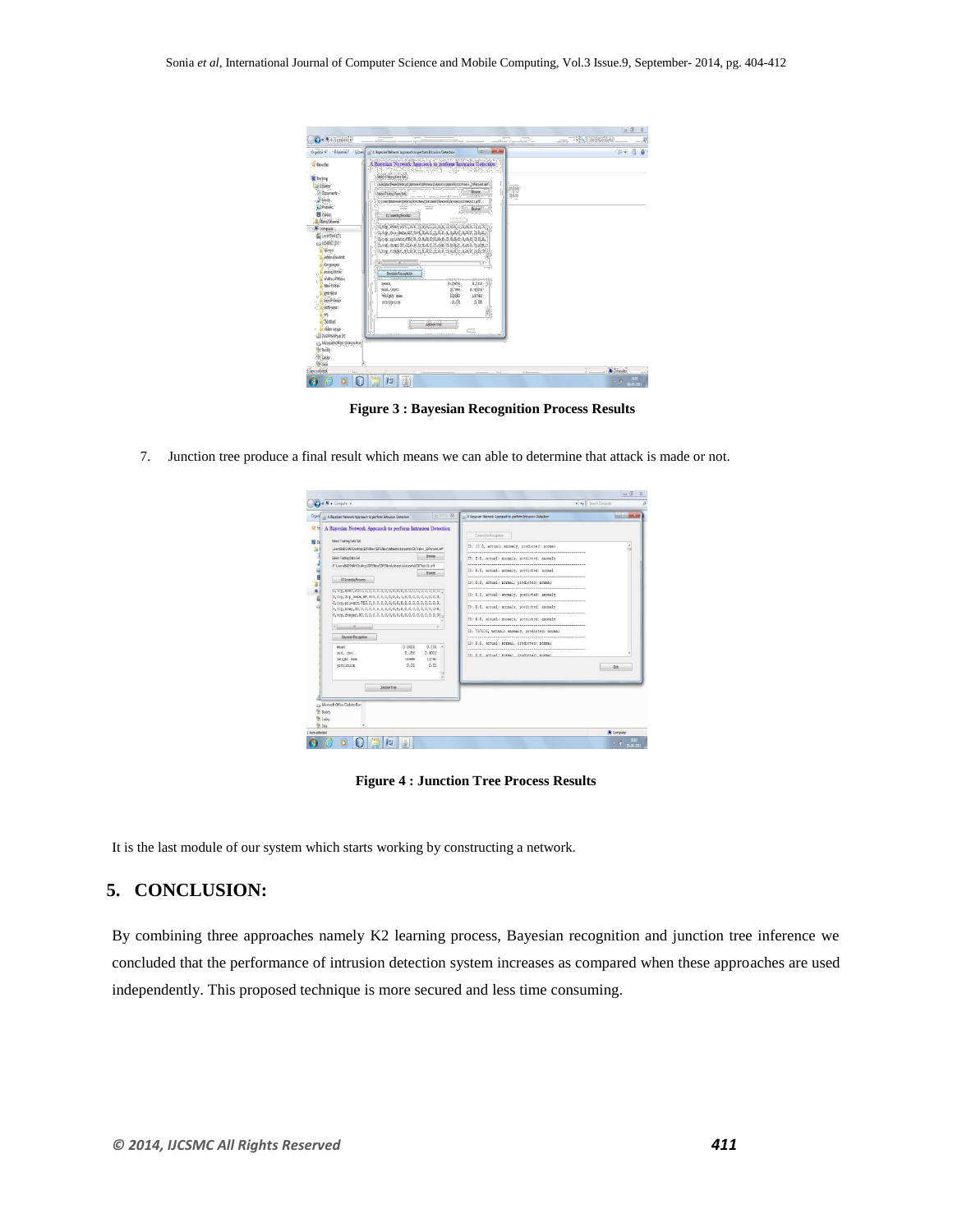| <b>Vir Fauntier</b>                   |                                                                             | System ( 4) A Bayesian Network Approach to perform Intrusion Detection |               | $O(1)$ $\rightarrow$ $\sim$ |        | 三十日        | Đ. |
|---------------------------------------|-----------------------------------------------------------------------------|------------------------------------------------------------------------|---------------|-----------------------------|--------|------------|----|
|                                       | A Bayesian Network Appracch to perform Intrusion Detection                  |                                                                        |               |                             |        |            |    |
|                                       | Select Transmothers Set                                                     |                                                                        |               |                             |        |            |    |
| <b>Decktop</b>                        | Jan BADS-W-IDeskto/IDRSNew/IDRSNew/datasets/datasets/8201/anv 20Ferrer Laff |                                                                        |               |                             |        |            |    |
| <b>By Ubraries</b>                    |                                                                             |                                                                        |               |                             | 354.08 |            |    |
| Cocuments                             | Select Testing Data Set                                                     |                                                                        | <b>Besaue</b> |                             | 245 GB |            |    |
| <sup>3</sup> Music                    | C/Users/BAD94W/Desktrp(IDRSNew/DRSNew/datasets/datasets/ZDTed-21.aff        |                                                                        |               |                             |        |            |    |
| <b>Pictures</b>                       |                                                                             |                                                                        | <b>Browse</b> |                             |        |            |    |
| Videos                                | #25aaming Process                                                           |                                                                        |               |                             |        |            |    |
| <b>B. Manci Sharma</b>                |                                                                             |                                                                        |               |                             |        |            |    |
| <b>N</b> Computer                     | 0, trp, ftp data, SF, 314.0, 0, 0, 0, 0, 0, 1, 0, 0, 0, 0, 0, 0, 0, 0, 0,   |                                                                        |               |                             |        |            |    |
| Local Disk (C)                        |                                                                             |                                                                        |               |                             |        |            |    |
| Ca LENOVO (D.)                        |                                                                             |                                                                        |               |                             |        |            |    |
| diver                                 |                                                                             |                                                                        |               |                             |        |            |    |
| internal awards                       |                                                                             |                                                                        |               |                             |        |            |    |
| Languages                             |                                                                             |                                                                        |               |                             |        |            |    |
| marcithesis                           | <b>Bovesan Fecognition</b>                                                  |                                                                        |               |                             |        |            |    |
| matter of thesis                      | ment                                                                        | 0.0428                                                                 | 0.206         |                             |        |            |    |
| New folder                            | std. day.                                                                   | 0.188                                                                  | 0.4026        |                             |        |            |    |
| pen drive                             | weight sum                                                                  | 13449                                                                  | 11743         |                             |        |            |    |
| niesh thesis                          | scecision                                                                   | 0.01                                                                   | 0.01          |                             |        |            |    |
| softwares                             |                                                                             |                                                                        |               |                             |        |            |    |
| w<br>Il Toobar                        |                                                                             |                                                                        |               |                             |        |            |    |
| aideo sonigi                          | Justine Tree                                                                |                                                                        |               |                             |        |            |    |
| <b>BOID RW Drive (F:)</b>             |                                                                             |                                                                        | <b>COLOR</b>  |                             |        |            |    |
| Ca Morsoft Office Click-to-Ran        |                                                                             |                                                                        |               |                             |        |            |    |
| $\frac{\partial u}{\partial x}$ Buddy |                                                                             |                                                                        |               |                             |        |            |    |
| <sup>th</sup> Ludy                    |                                                                             |                                                                        |               |                             |        |            |    |
| <b>Be Shiel</b>                       |                                                                             |                                                                        |               |                             |        |            |    |
| 1 item selected                       |                                                                             |                                                                        |               |                             |        | N Computer |    |
|                                       |                                                                             |                                                                        |               |                             |        |            |    |

**Figure 3 : Bayesian Recognition Process Results**

7. Junction tree produce a final result which means we can able to determine that attack is made or not.

| 4. A Bayesian Network Appracch to perform Intrusion Detection                                                                                                                                                                                                                                                                                                                                                                                                                 | $\Box$                                                                                                 | <b>RESIDENCE</b><br>A. A Bevesian Network Agencych to perform Intrusion Detection                                                                                                                                                                                                                                                                                                                                                                                                                                      |
|-------------------------------------------------------------------------------------------------------------------------------------------------------------------------------------------------------------------------------------------------------------------------------------------------------------------------------------------------------------------------------------------------------------------------------------------------------------------------------|--------------------------------------------------------------------------------------------------------|------------------------------------------------------------------------------------------------------------------------------------------------------------------------------------------------------------------------------------------------------------------------------------------------------------------------------------------------------------------------------------------------------------------------------------------------------------------------------------------------------------------------|
| A Bayesian Network Appraoch to perform Intrusion Detection<br>St Fall<br>Select Training Data Set<br>JustiBADS-WHOesktopIDRSNewIDRSNewIdstagets/datasets/EDTrain+ 20Fercent.art<br>Select Testing Onta Set<br>C/UsersBADSHAHIDesktool/DRSNew/IDRSNew/datasets/datasets/007est-21.aff<br>42 Learning Process<br>0.tcs.scivate.2E2.0.0.0.0.0.0.0.0.0.0.0.0.0.0.0.0.0.<br><b>Bayesian Recognition</b><br>198,423<br>std. day.<br>veight sun<br>precision<br><b>Junction Tree</b> | <b>Broade</b><br><b>Browse</b><br>0.0428<br>0.205<br>0.186<br>0.4024<br>13449<br>11743<br>0.01<br>0.01 | Comedian Resources<br>ID: 13.0, actual: anomaly, predicted: normal<br>ID: D.O. actual: anomaly, predicted: anomaly<br>ID: D.O. actual: anomaly, predicted: normal<br>ID: D.G. actual: normal, scedicted: normal<br>ID: 0.0, actual: anomaly, predicted: anomaly<br>ID: 0.0, actual: anomaly, predicted: anomaly<br>ID: 0.0, actual: anomaly, predicted: anomaly<br>ID: 7570.0, actual: anomaly, predicted: normal<br>ID: 0.0, actual: normal, predicted: normal<br>The fi-fi accounts appeal practiceads appeal<br>Ext |
| Mercelt Office Click-to-Run<br><sup>6</sup> Buddy                                                                                                                                                                                                                                                                                                                                                                                                                             |                                                                                                        |                                                                                                                                                                                                                                                                                                                                                                                                                                                                                                                        |

**Figure 4 : Junction Tree Process Results**

It is the last module of our system which starts working by constructing a network.

# **5. CONCLUSION:**

By combining three approaches namely K2 learning process, Bayesian recognition and junction tree inference we concluded that the performance of intrusion detection system increases as compared when these approaches are used independently. This proposed technique is more secured and less time consuming.